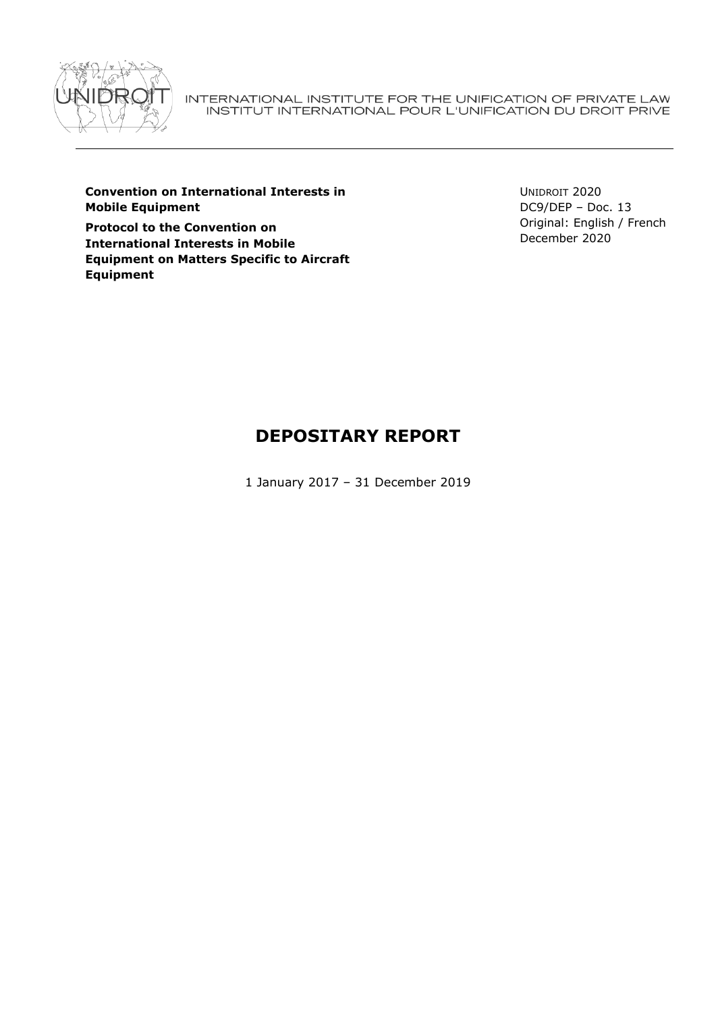

INTERNATIONAL INSTITUTE FOR THE UNIFICATION OF PRIVATE LAW<br>INSTITUT INTERNATIONAL POUR L'UNIFICATION DU DROIT PRIVE

**Convention on International Interests in Mobile Equipment**

**Protocol to the Convention on International Interests in Mobile Equipment on Matters Specific to Aircraft Equipment**

UNIDROIT 2020 DC9/DEP – Doc. 13 Original: English / French December 2020

# **DEPOSITARY REPORT**

1 January 2017 – 31 December 2019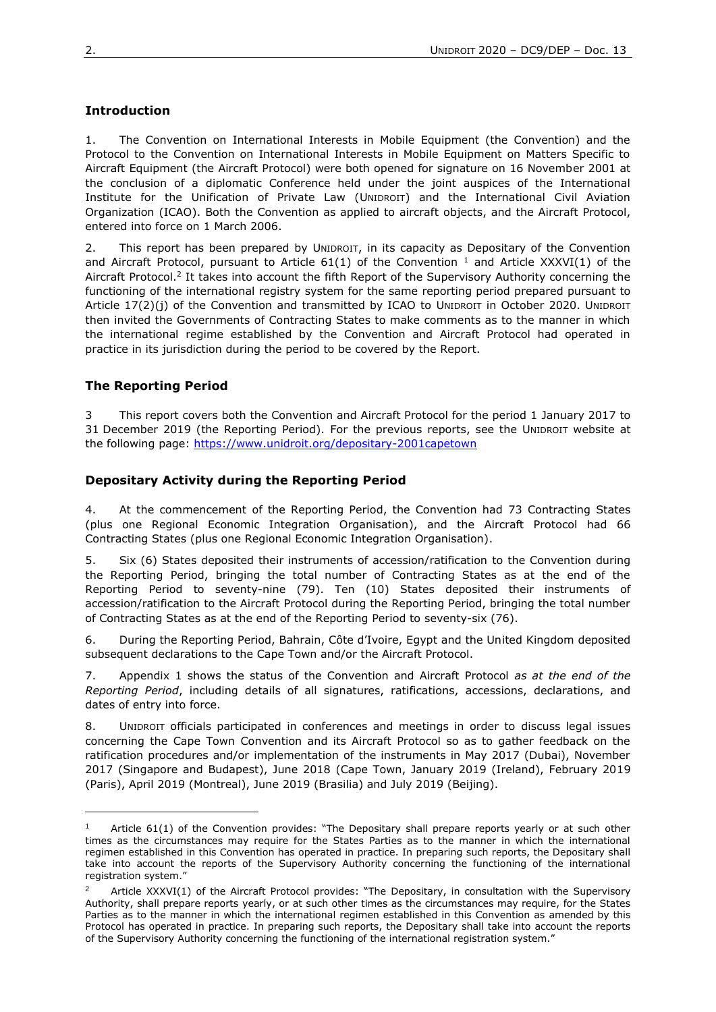# **Introduction**

1. The Convention on International Interests in Mobile Equipment (the Convention) and the Protocol to the Convention on International Interests in Mobile Equipment on Matters Specific to Aircraft Equipment (the Aircraft Protocol) were both opened for signature on 16 November 2001 at the conclusion of a diplomatic Conference held under the joint auspices of the International Institute for the Unification of Private Law (UNIDROIT) and the International Civil Aviation Organization (ICAO). Both the Convention as applied to aircraft objects, and the Aircraft Protocol, entered into force on 1 March 2006.

2. This report has been prepared by UNIDROIT, in its capacity as Depositary of the Convention and Aircraft Protocol, pursuant to Article 61(1) of the Convention  $<sup>1</sup>$  and Article XXXVI(1) of the</sup> Aircraft Protocol.<sup>2</sup> It takes into account the fifth Report of the Supervisory Authority concerning the functioning of the international registry system for the same reporting period prepared pursuant to Article 17(2)(j) of the Convention and transmitted by ICAO to UNIDROIT in October 2020. UNIDROIT then invited the Governments of Contracting States to make comments as to the manner in which the international regime established by the Convention and Aircraft Protocol had operated in practice in its jurisdiction during the period to be covered by the Report.

# **The Reporting Period**

3 This report covers both the Convention and Aircraft Protocol for the period 1 January 2017 to 31 December 2019 (the Reporting Period). For the previous reports, see the UNIDROIT website at the following page:<https://www.unidroit.org/depositary-2001capetown>

# **Depositary Activity during the Reporting Period**

4. At the commencement of the Reporting Period, the Convention had 73 Contracting States (plus one Regional Economic Integration Organisation), and the Aircraft Protocol had 66 Contracting States (plus one Regional Economic Integration Organisation).

5. Six (6) States deposited their instruments of accession/ratification to the Convention during the Reporting Period, bringing the total number of Contracting States as at the end of the Reporting Period to seventy-nine (79). Ten (10) States deposited their instruments of accession/ratification to the Aircraft Protocol during the Reporting Period, bringing the total number of Contracting States as at the end of the Reporting Period to seventy-six (76).

6. During the Reporting Period, Bahrain, Côte d'Ivoire, Egypt and the United Kingdom deposited subsequent declarations to the Cape Town and/or the Aircraft Protocol.

7. Appendix 1 shows the status of the Convention and Aircraft Protocol *as at the end of the Reporting Period*, including details of all signatures, ratifications, accessions, declarations, and dates of entry into force.

8. UNIDROIT officials participated in conferences and meetings in order to discuss legal issues concerning the Cape Town Convention and its Aircraft Protocol so as to gather feedback on the ratification procedures and/or implementation of the instruments in May 2017 (Dubai), November 2017 (Singapore and Budapest), June 2018 (Cape Town, January 2019 (Ireland), February 2019 (Paris), April 2019 (Montreal), June 2019 (Brasilia) and July 2019 (Beijing).

Article 61(1) of the Convention provides: "The Depositary shall prepare reports yearly or at such other times as the circumstances may require for the States Parties as to the manner in which the international regimen established in this Convention has operated in practice. In preparing such reports, the Depositary shall take into account the reports of the Supervisory Authority concerning the functioning of the international registration system."

<sup>2</sup> Article XXXVI(1) of the Aircraft Protocol provides: "The Depositary, in consultation with the Supervisory Authority, shall prepare reports yearly, or at such other times as the circumstances may require, for the States Parties as to the manner in which the international regimen established in this Convention as amended by this Protocol has operated in practice. In preparing such reports, the Depositary shall take into account the reports of the Supervisory Authority concerning the functioning of the international registration system."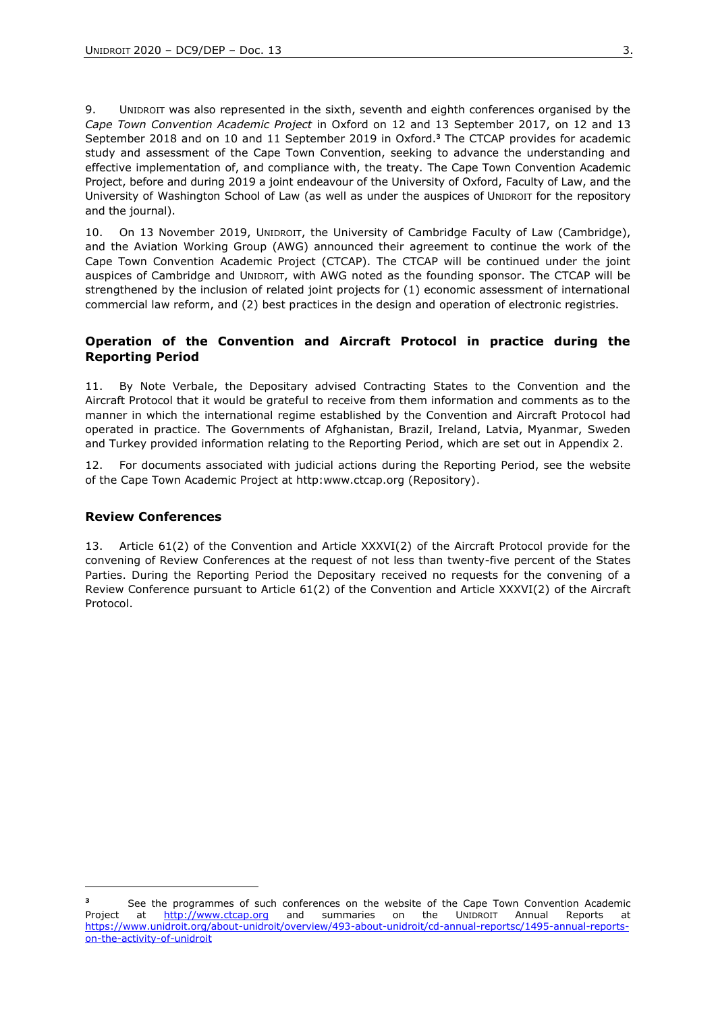9. UNIDROIT was also represented in the sixth, seventh and eighth conferences organised by the *Cape Town Convention Academic Project* in Oxford on 12 and 13 September 2017, on 12 and 13 September 2018 and on 10 and 11 September 2019 in Oxford.**<sup>3</sup>** The CTCAP provides for academic study and assessment of the Cape Town Convention, seeking to advance the understanding and effective implementation of, and compliance with, the treaty. The Cape Town Convention Academic Project, before and during 2019 a joint endeavour of the University of Oxford, Faculty of Law, and the University of Washington School of Law (as well as under the auspices of UNIDROIT for the repository and the journal).

10. On 13 November 2019, UNIDROIT, the University of Cambridge Faculty of Law (Cambridge), and the Aviation Working Group (AWG) announced their agreement to continue the work of the Cape Town Convention Academic Project (CTCAP). The CTCAP will be continued under the joint auspices of Cambridge and UNIDROIT, with AWG noted as the founding sponsor. The CTCAP will be strengthened by the inclusion of related joint projects for (1) economic assessment of international commercial law reform, and (2) best practices in the design and operation of electronic registries.

# **Operation of the Convention and Aircraft Protocol in practice during the Reporting Period**

11. By Note Verbale, the Depositary advised Contracting States to the Convention and the Aircraft Protocol that it would be grateful to receive from them information and comments as to the manner in which the international regime established by the Convention and Aircraft Protocol had operated in practice. The Governments of Afghanistan, Brazil, Ireland, Latvia, Myanmar, Sweden and Turkey provided information relating to the Reporting Period, which are set out in Appendix 2.

12. For documents associated with judicial actions during the Reporting Period, see the website of the Cape Town Academic Project at http:www.ctcap.org (Repository).

## **Review Conferences**

13. Article 61(2) of the Convention and Article XXXVI(2) of the Aircraft Protocol provide for the convening of Review Conferences at the request of not less than twenty-five percent of the States Parties. During the Reporting Period the Depositary received no requests for the convening of a Review Conference pursuant to Article 61(2) of the Convention and Article XXXVI(2) of the Aircraft Protocol.

**<sup>3</sup>** See the programmes of such conferences on the website of the Cape Town Convention Academic Project at [http://www.ctcap.org](http://www.ctcap.org/) and summaries on the UNIDROIT Annual Reports at [https://www.unidroit.org/about-unidroit/overview/493-about-unidroit/cd-annual-reportsc/1495-annual-reports](https://www.unidroit.org/about-unidroit/overview/493-about-unidroit/cd-annual-reportsc/1495-annual-reports-on-the-activity-of-unidroit)[on-the-activity-of-unidroit](https://www.unidroit.org/about-unidroit/overview/493-about-unidroit/cd-annual-reportsc/1495-annual-reports-on-the-activity-of-unidroit)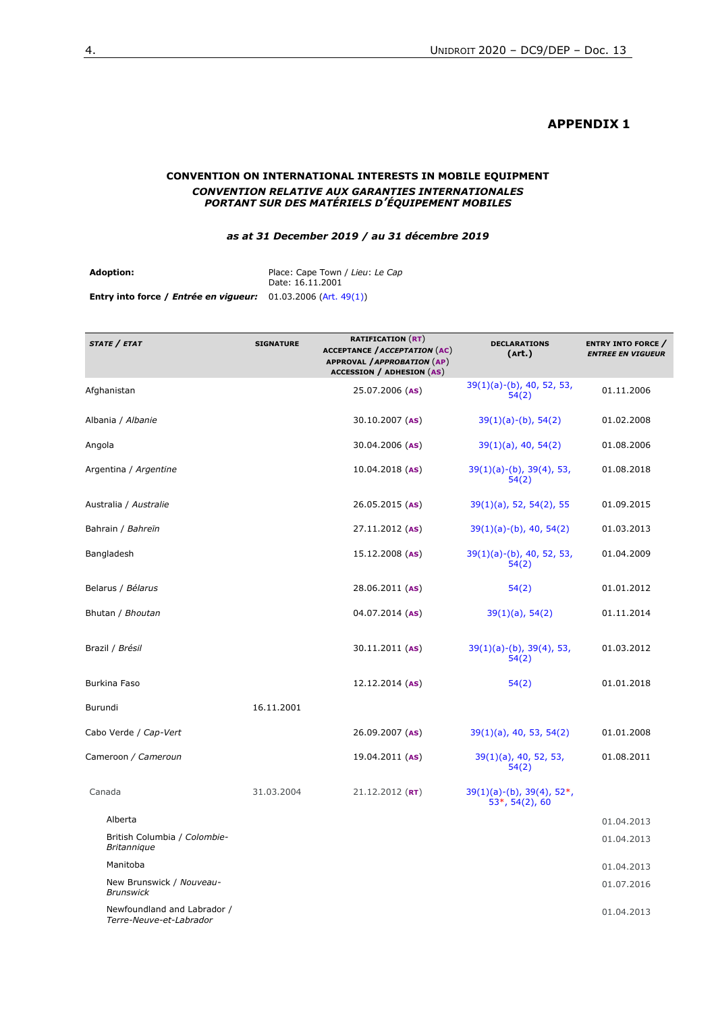# **APPENDIX 1**

## **CONVENTION ON INTERNATIONAL INTERESTS IN MOBILE EQUIPMENT** *CONVENTION RELATIVE AUX GARANTIES INTERNATIONALES PORTANT SUR DES MATÉRIELS D'ÉQUIPEMENT MOBILES*

*as at 31 December 2019 / au 31 décembre 2019*

**Adoption:** Place: Cape Town / *Lieu*: *Le Cap* Date: 16.11.2001 **Entry into force /** *Entrée en vigueur:* 01.03.2006 (Art. 49(1))

| STATE / ETAT                                           | <b>SIGNATURE</b> | <b>RATIFICATION (RT)</b><br><b>ACCEPTANCE / ACCEPTATION (AC)</b><br>APPROVAL / APPROBATION (AP)<br><b>ACCESSION / ADHESION (AS)</b> | <b>DECLARATIONS</b><br>(Art.)                         | <b>ENTRY INTO FORCE</b> /<br><b>ENTREE EN VIGUEUR</b> |
|--------------------------------------------------------|------------------|-------------------------------------------------------------------------------------------------------------------------------------|-------------------------------------------------------|-------------------------------------------------------|
| Afghanistan                                            |                  | 25.07.2006 (AS)                                                                                                                     | 39(1)(a)-(b), 40, 52, 53,<br>54(2)                    | 01.11.2006                                            |
| Albania / Albanie                                      |                  | $30.10.2007$ (AS)                                                                                                                   | $39(1)(a)-(b)$ , 54(2)                                | 01.02.2008                                            |
| Angola                                                 |                  | 30.04.2006 (AS)                                                                                                                     | $39(1)(a)$ , 40, 54(2)                                | 01.08.2006                                            |
| Argentina / Argentine                                  |                  | $10.04.2018$ (AS)                                                                                                                   | 39(1)(a)-(b), 39(4), 53,<br>54(2)                     | 01.08.2018                                            |
| Australia / Australie                                  |                  | $26.05.2015$ (AS)                                                                                                                   | $39(1)(a)$ , 52, 54(2), 55                            | 01.09.2015                                            |
| Bahrain / Bahreïn                                      |                  | 27.11.2012 (AS)                                                                                                                     | $39(1)(a)-(b)$ , 40, 54(2)                            | 01.03.2013                                            |
| Bangladesh                                             |                  | $15.12.2008$ (AS)                                                                                                                   | $39(1)(a)-(b)$ , 40, 52, 53,<br>54(2)                 | 01.04.2009                                            |
| Belarus / Bélarus                                      |                  | 28.06.2011 (AS)                                                                                                                     | 54(2)                                                 | 01.01.2012                                            |
| Bhutan / Bhoutan                                       |                  | $04.07.2014$ (AS)                                                                                                                   | $39(1)(a)$ , 54(2)                                    | 01.11.2014                                            |
| Brazil / Brésil                                        |                  | $30.11.2011$ (AS)                                                                                                                   | $39(1)(a)-(b)$ , $39(4)$ , 53,<br>54(2)               | 01.03.2012                                            |
| <b>Burkina Faso</b>                                    |                  | 12.12.2014 (AS)                                                                                                                     | 54(2)                                                 | 01.01.2018                                            |
| Burundi                                                | 16.11.2001       |                                                                                                                                     |                                                       |                                                       |
| Cabo Verde / Cap-Vert                                  |                  | 26.09.2007 (AS)                                                                                                                     | $39(1)(a)$ , 40, 53, 54(2)                            | 01.01.2008                                            |
| Cameroon / Cameroun                                    |                  | $19.04.2011$ (AS)                                                                                                                   | $39(1)(a)$ , 40, 52, 53,<br>54(2)                     | 01.08.2011                                            |
| Canada                                                 | 31.03.2004       | $21.12.2012$ (RT)                                                                                                                   | $39(1)(a)-(b)$ , $39(4)$ , $52*,$<br>$53*, 54(2), 60$ |                                                       |
| Alberta                                                |                  |                                                                                                                                     |                                                       | 01.04.2013                                            |
| British Columbia / Colombie-<br><b>Britannique</b>     |                  |                                                                                                                                     |                                                       | 01.04.2013                                            |
| Manitoba                                               |                  |                                                                                                                                     |                                                       | 01.04.2013                                            |
| New Brunswick / Nouveau-<br><b>Brunswick</b>           |                  |                                                                                                                                     |                                                       | 01.07.2016                                            |
| Newfoundland and Labrador /<br>Terre-Neuve-et-Labrador |                  |                                                                                                                                     |                                                       | 01.04.2013                                            |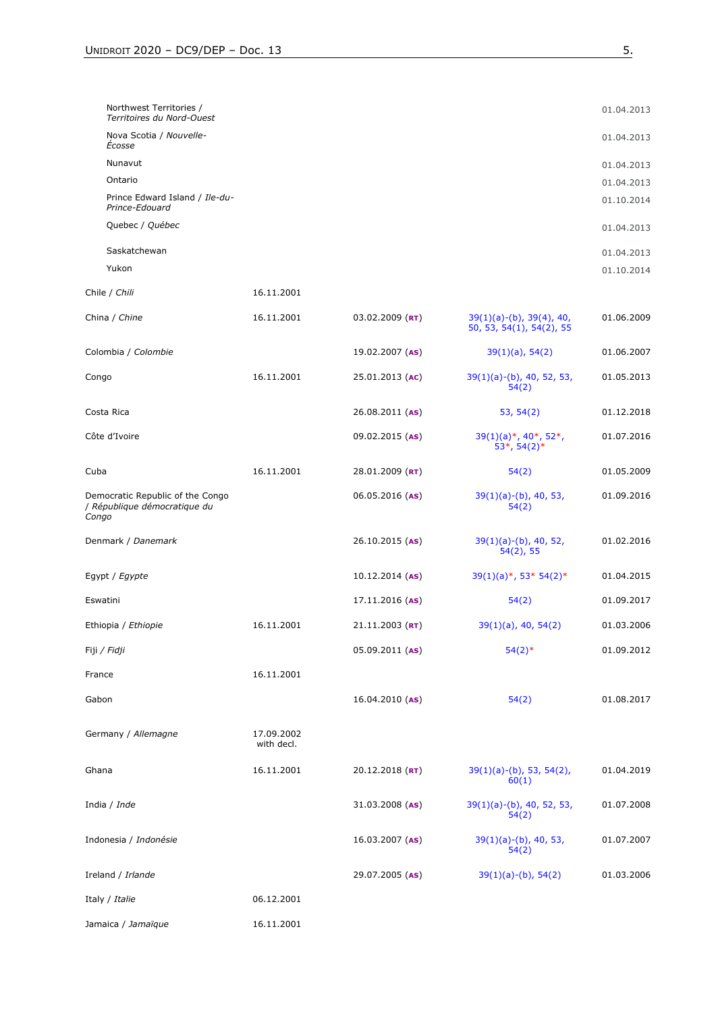| Northwest Territories /<br>Territoires du Nord-Ouest                      |                          |                   |                                                                    | 01.04.2013 |
|---------------------------------------------------------------------------|--------------------------|-------------------|--------------------------------------------------------------------|------------|
| Nova Scotia / Nouvelle-<br>Écosse                                         |                          |                   |                                                                    | 01.04.2013 |
| Nunavut                                                                   |                          |                   |                                                                    | 01.04.2013 |
| Ontario                                                                   |                          |                   |                                                                    | 01.04.2013 |
| Prince Edward Island / Ile-du-<br>Prince-Edouard                          |                          |                   |                                                                    | 01.10.2014 |
| Quebec / Québec                                                           |                          |                   |                                                                    | 01.04.2013 |
| Saskatchewan                                                              |                          |                   |                                                                    | 01.04.2013 |
| Yukon                                                                     |                          |                   |                                                                    | 01.10.2014 |
| Chile / Chili                                                             | 16.11.2001               |                   |                                                                    |            |
| China / Chine                                                             | 16.11.2001               | $03.02.2009$ (RT) | $39(1)(a)-(b)$ , $39(4)$ , 40,<br>50, 53, 54(1), 54(2), 55         | 01.06.2009 |
| Colombia / Colombie                                                       |                          | 19.02.2007 (AS)   | $39(1)(a)$ , 54(2)                                                 | 01.06.2007 |
| Congo                                                                     | 16.11.2001               | 25.01.2013 (AC)   | $39(1)(a)-(b)$ , 40, 52, 53,<br>54(2)                              | 01.05.2013 |
| Costa Rica                                                                |                          | 26.08.2011 (AS)   | 53, 54(2)                                                          | 01.12.2018 |
| Côte d'Ivoire                                                             |                          | 09.02.2015 (AS)   | $39(1)(a)*$ , 40 <sup>*</sup> , 52 <sup>*</sup> ,<br>$53*, 54(2)*$ | 01.07.2016 |
| Cuba                                                                      | 16.11.2001               | 28.01.2009 (RT)   | 54(2)                                                              | 01.05.2009 |
| Democratic Republic of the Congo<br>/ République démocratique du<br>Congo |                          | 06.05.2016 (AS)   | $39(1)(a)-(b)$ , 40, 53,<br>54(2)                                  | 01.09.2016 |
| Denmark / Danemark                                                        |                          | $26.10.2015$ (AS) | $39(1)(a)-(b)$ , 40, 52,<br>$54(2)$ , 55                           | 01.02.2016 |
| Egypt / Egypte                                                            |                          | $10.12.2014$ (AS) | $39(1)(a)*$ , 53* 54(2)*                                           | 01.04.2015 |
| Eswatini                                                                  |                          | $17.11.2016$ (AS) | 54(2)                                                              | 01.09.2017 |
| Ethiopia / Ethiopie                                                       | 16.11.2001               | $21.11.2003$ (RT) | $39(1)(a)$ , 40, 54(2)                                             | 01.03.2006 |
| Fiji / Fidji                                                              |                          | 05.09.2011 (AS)   | $54(2)*$                                                           | 01.09.2012 |
| France                                                                    | 16.11.2001               |                   |                                                                    |            |
| Gabon                                                                     |                          | 16.04.2010 (AS)   | 54(2)                                                              | 01.08.2017 |
| Germany / Allemagne                                                       | 17.09.2002<br>with decl. |                   |                                                                    |            |
| Ghana                                                                     | 16.11.2001               | 20.12.2018 (RT)   | $39(1)(a)-(b)$ , 53, 54(2),<br>60(1)                               | 01.04.2019 |
| India / Inde                                                              |                          | 31.03.2008 (AS)   | $39(1)(a)-(b)$ , 40, 52, 53,<br>54(2)                              | 01.07.2008 |
| Indonesia / Indonésie                                                     |                          | $16.03.2007$ (AS) | $39(1)(a)-(b)$ , 40, 53,<br>54(2)                                  | 01.07.2007 |
| Ireland / Irlande                                                         |                          | 29.07.2005 (AS)   | $39(1)(a)-(b)$ , 54(2)                                             | 01.03.2006 |
| Italy / Italie                                                            | 06.12.2001               |                   |                                                                    |            |
| Jamaica / Jamaïque                                                        | 16.11.2001               |                   |                                                                    |            |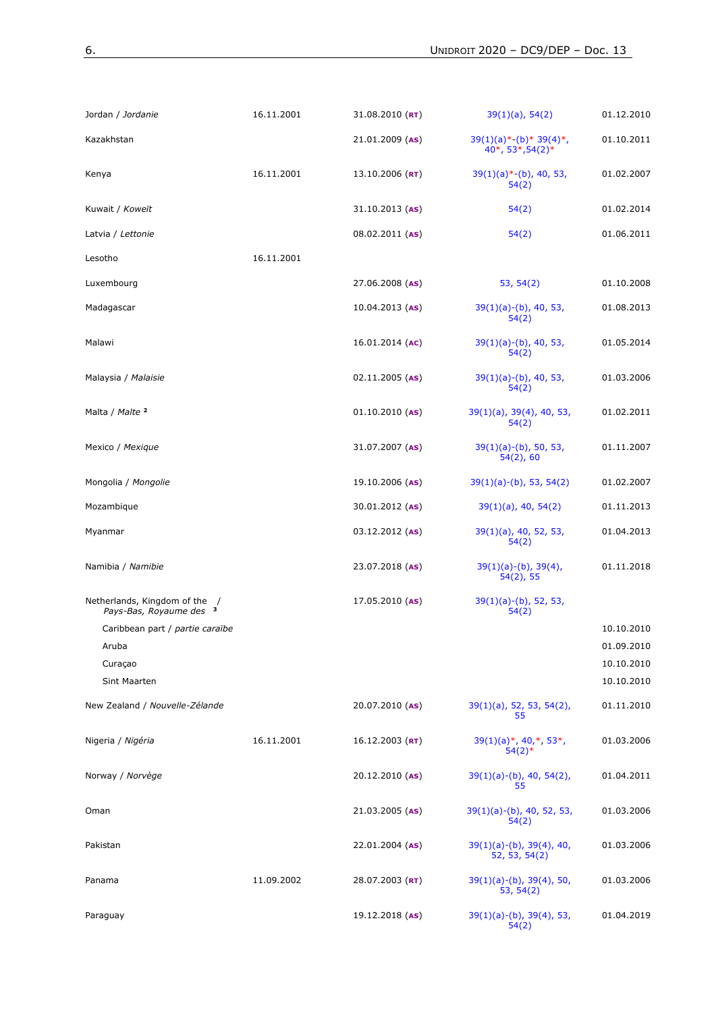| Jordan / Jordanie                                                   | 16.11.2001 | 31.08.2010 (RT)   | $39(1)(a)$ , 54(2)                               | 01.12.2010               |
|---------------------------------------------------------------------|------------|-------------------|--------------------------------------------------|--------------------------|
| Kazakhstan                                                          |            | 21.01.2009 (AS)   | $39(1)(a)*-(b)*39(4)*$ ,<br>40*, 53*, 54(2)*     | 01.10.2011               |
| Kenya                                                               | 16.11.2001 | $13.10.2006$ (RT) | $39(1)(a)*-(b)$ , 40, 53,<br>54(2)               | 01.02.2007               |
| Kuwait / Koweït                                                     |            | $31.10.2013$ (AS) | 54(2)                                            | 01.02.2014               |
| Latvia / Lettonie                                                   |            | 08.02.2011 (AS)   | 54(2)                                            | 01.06.2011               |
| Lesotho                                                             | 16.11.2001 |                   |                                                  |                          |
| Luxembourg                                                          |            | 27.06.2008 (AS)   | 53, 54(2)                                        | 01.10.2008               |
| Madagascar                                                          |            | $10.04.2013$ (AS) | $39(1)(a)-(b)$ , 40, 53,<br>54(2)                | 01.08.2013               |
| Malawi                                                              |            | $16.01.2014$ (AC) | $39(1)(a)-(b)$ , 40, 53,<br>54(2)                | 01.05.2014               |
| Malaysia / Malaisie                                                 |            | $02.11.2005$ (AS) | $39(1)(a)-(b)$ , 40, 53,<br>54(2)                | 01.03.2006               |
| Malta / Malte 2                                                     |            | $01.10.2010$ (AS) | $39(1)(a)$ , $39(4)$ , 40, 53,<br>54(2)          | 01.02.2011               |
| Mexico / Mexique                                                    |            | 31.07.2007 (AS)   | $39(1)(a)-(b)$ , 50, 53,<br>$54(2)$ , 60         | 01.11.2007               |
| Mongolia / Mongolie                                                 |            | $19.10.2006$ (AS) | $39(1)(a)-(b)$ , 53, 54(2)                       | 01.02.2007               |
| Mozambique                                                          |            | 30.01.2012 (AS)   | $39(1)(a)$ , 40, 54(2)                           | 01.11.2013               |
| Myanmar                                                             |            | 03.12.2012 (AS)   | 39(1)(a), 40, 52, 53,<br>54(2)                   | 01.04.2013               |
| Namibia / Namibie                                                   |            | 23.07.2018 (AS)   | $39(1)(a)-(b)$ , $39(4)$ ,<br>$54(2)$ , 55       | 01.11.2018               |
| Netherlands, Kingdom of the /<br>Pays-Bas, Royaume des <sup>3</sup> |            | $17.05.2010$ (AS) | $39(1)(a)-(b)$ , 52, 53,<br>54(2)                |                          |
| Caribbean part / partie caraïbe                                     |            |                   |                                                  | 10.10.2010               |
| Aruba<br>Curaçao                                                    |            |                   |                                                  | 01.09.2010<br>10.10.2010 |
| Sint Maarten                                                        |            |                   |                                                  | 10.10.2010               |
| New Zealand / Nouvelle-Zélande                                      |            | 20.07.2010 (AS)   | $39(1)(a)$ , 52, 53, 54(2),<br>55                | 01.11.2010               |
| Nigeria / Nigéria                                                   | 16.11.2001 | $16.12.2003$ (RT) | $39(1)(a)*$ , 40,*, 53*,<br>$54(2)$ <sup>*</sup> | 01.03.2006               |
| Norway / Norvège                                                    |            | 20.12.2010 (AS)   | $39(1)(a)-(b)$ , 40, 54(2),<br>55                | 01.04.2011               |
| Oman                                                                |            | 21.03.2005 (AS)   | $39(1)(a)-(b)$ , 40, 52, 53,<br>54(2)            | 01.03.2006               |
| Pakistan                                                            |            | 22.01.2004 (AS)   | $39(1)(a)-(b)$ , $39(4)$ , 40,<br>52, 53, 54(2)  | 01.03.2006               |
| Panama                                                              | 11.09.2002 | 28.07.2003 (RT)   | $39(1)(a)-(b)$ , $39(4)$ , 50,<br>53, 54(2)      | 01.03.2006               |
| Paraguay                                                            |            | 19.12.2018 (AS)   | 39(1)(a)-(b), 39(4), 53,<br>54(2)                | 01.04.2019               |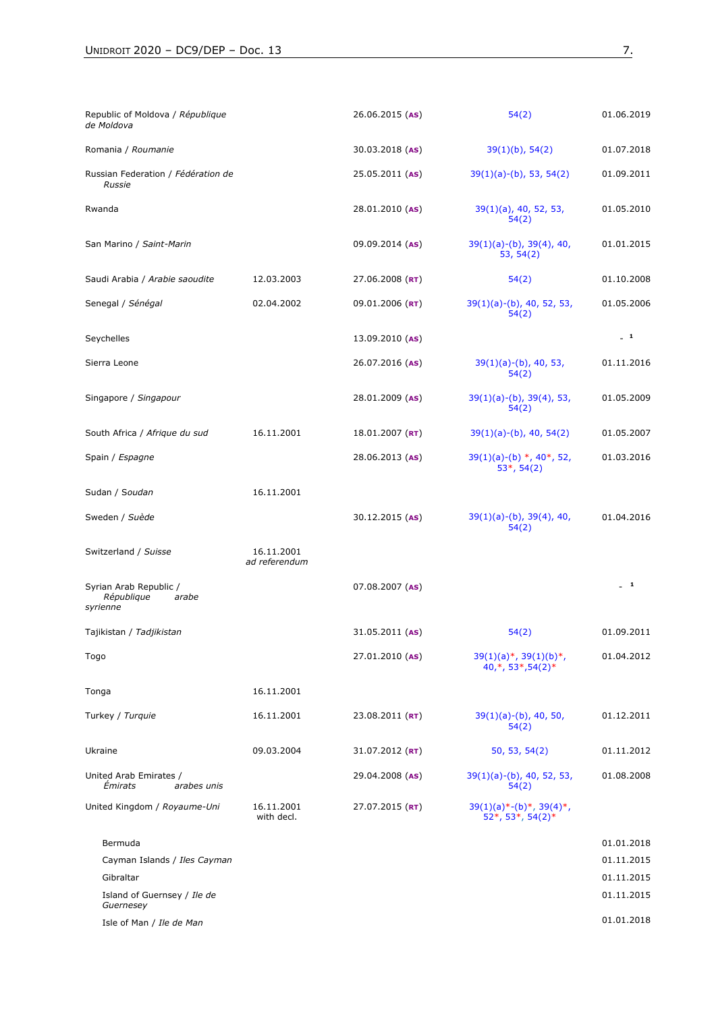| Republic of Moldova / République<br>de Moldova                 |                             | 26.06.2015 (AS)   | 54(2)                                               | 01.06.2019 |
|----------------------------------------------------------------|-----------------------------|-------------------|-----------------------------------------------------|------------|
| Romania / Roumanie                                             |                             | 30.03.2018 (AS)   | $39(1)(b)$ , 54(2)                                  | 01.07.2018 |
| Russian Federation / Fédération de<br><b>Russie</b>            |                             | 25.05.2011 (AS)   | $39(1)(a)-(b)$ , 53, 54(2)                          | 01.09.2011 |
| Rwanda                                                         |                             | 28.01.2010 (AS)   | $39(1)(a)$ , 40, 52, 53,<br>54(2)                   | 01.05.2010 |
| San Marino / Saint-Marin                                       |                             | 09.09.2014 (AS)   | $39(1)(a)-(b)$ , $39(4)$ , 40,<br>53, 54(2)         | 01.01.2015 |
| Saudi Arabia / Arabie saoudite                                 | 12.03.2003                  | 27.06.2008 (RT)   | 54(2)                                               | 01.10.2008 |
| Senegal / Sénégal                                              | 02.04.2002                  | 09.01.2006 (RT)   | $39(1)(a)-(b)$ , 40, 52, 53,<br>54(2)               | 01.05.2006 |
| Seychelles                                                     |                             | $13.09.2010$ (AS) |                                                     | $-1$       |
| Sierra Leone                                                   |                             | 26.07.2016 (AS)   | $39(1)(a)-(b)$ , 40, 53,<br>54(2)                   | 01.11.2016 |
| Singapore / Singapour                                          |                             | 28.01.2009 (AS)   | $39(1)(a)-(b)$ , $39(4)$ , 53,<br>54(2)             | 01.05.2009 |
| South Africa / Afrique du sud                                  | 16.11.2001                  | $18.01.2007$ (RT) | $39(1)(a)-(b)$ , 40, 54(2)                          | 01.05.2007 |
| Spain / Espagne                                                |                             | 28.06.2013 (AS)   | $39(1)(a)-(b) *$ , 40*, 52,<br>$53*, 54(2)$         | 01.03.2016 |
| Sudan / Soudan                                                 | 16.11.2001                  |                   |                                                     |            |
| Sweden / Suède                                                 |                             | 30.12.2015 (AS)   | $39(1)(a)-(b)$ , $39(4)$ , 40,<br>54(2)             | 01.04.2016 |
| Switzerland / Suisse                                           | 16.11.2001<br>ad referendum |                   |                                                     |            |
| Syrian Arab Republic /<br>République<br>arabe<br>syrienne      |                             | $07.08.2007$ (AS) |                                                     | $-1$       |
| Tajikistan / Tadjikistan                                       |                             | $31.05.2011$ (AS) | 54(2)                                               | 01.09.2011 |
| Togo                                                           |                             | 27.01.2010 (AS)   | $39(1)(a)*$ , $39(1)(b)*$ ,<br>40,*, 53*, 54(2)*    | 01.04.2012 |
| Tonga                                                          | 16.11.2001                  |                   |                                                     |            |
| Turkey / Turquie                                               | 16.11.2001                  | 23.08.2011 (RT)   | $39(1)(a)-(b)$ , 40, 50,<br>54(2)                   | 01.12.2011 |
| Ukraine                                                        | 09.03.2004                  | 31.07.2012 (RT)   | 50, 53, 54(2)                                       | 01.11.2012 |
| United Arab Emirates /<br><i><b>Émirats</b></i><br>arabes unis |                             | 29.04.2008 (AS)   | $39(1)(a)-(b)$ , 40, 52, 53,<br>54(2)               | 01.08.2008 |
| United Kingdom / Royaume-Uni                                   | 16.11.2001<br>with decl.    | 27.07.2015 (RT)   | $39(1)(a)*-(b)*$ , $39(4)*$ ,<br>$52*, 53*, 54(2)*$ |            |
| Bermuda                                                        |                             |                   |                                                     | 01.01.2018 |
| Cayman Islands / Iles Cayman                                   |                             |                   |                                                     | 01.11.2015 |
| Gibraltar                                                      |                             |                   |                                                     | 01.11.2015 |
| Island of Guernsey / Ile de<br>Guernesey                       |                             |                   |                                                     | 01.11.2015 |
| Isle of Man / Ile de Man                                       |                             |                   |                                                     | 01.01.2018 |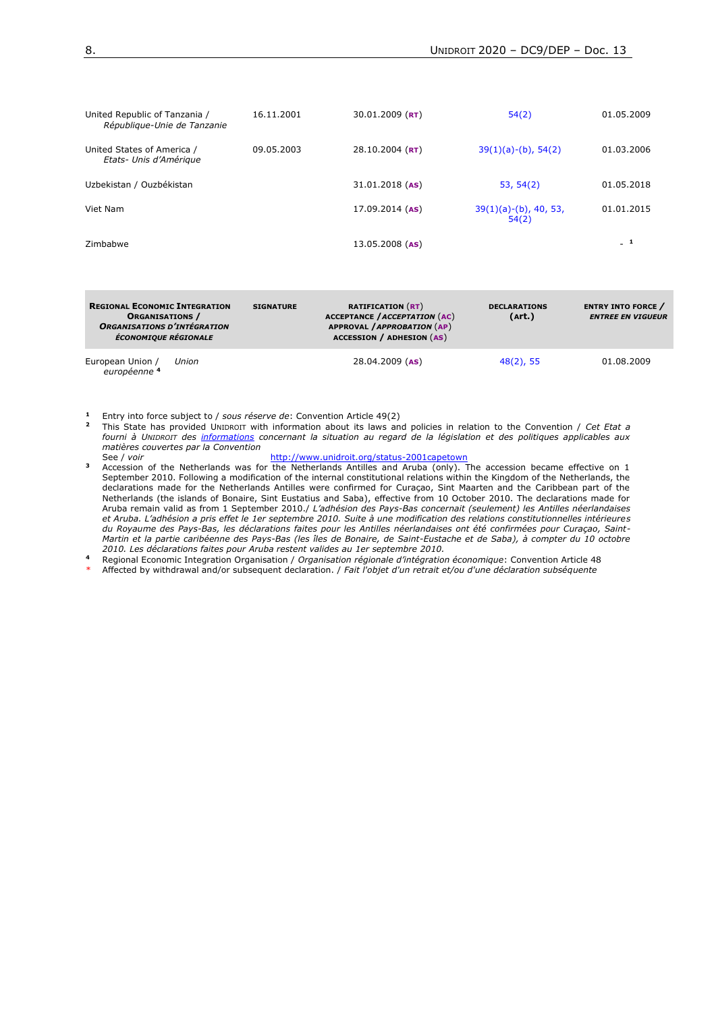| United Republic of Tanzania /<br>République-Unie de Tanzanie | 16.11.2001 | $30.01.2009$ (RT)   | 54(2)                             | 01.05.2009 |
|--------------------------------------------------------------|------------|---------------------|-----------------------------------|------------|
| United States of America /<br>Etats- Unis d'Amérique         | 09.05.2003 | 28.10.2004 ( $RT$ ) | $39(1)(a)-(b)$ , 54(2)            | 01.03.2006 |
| Uzbekistan / Ouzbékistan                                     |            | $31.01.2018$ (AS)   | 53, 54(2)                         | 01.05.2018 |
| Viet Nam                                                     |            | $17.09.2014$ (AS)   | $39(1)(a)-(b)$ , 40, 53,<br>54(2) | 01.01.2015 |
| Zimbabwe                                                     |            | $13.05.2008$ (AS)   |                                   | . 1        |

| <b>REGIONAL ECONOMIC INTEGRATION</b><br><b>ORGANISATIONS</b> /<br><b>ORGANISATIONS D'INTÉGRATION</b><br><b>ÉCONOMIQUE RÉGIONALE</b> |       | <b>SIGNATURE</b> | <b>RATIFICATION (RT)</b><br><b>ACCEPTANCE / ACCEPTATION (AC)</b><br>APPROVAL / APPROBATION (AP)<br><b>ACCESSION / ADHESION (AS)</b> | <b>DECLARATIONS</b><br>(Art.) | <b>ENTRY INTO FORCE</b><br><b>ENTREE EN VIGUEUR</b> |
|-------------------------------------------------------------------------------------------------------------------------------------|-------|------------------|-------------------------------------------------------------------------------------------------------------------------------------|-------------------------------|-----------------------------------------------------|
| European Union /<br>européenne 4                                                                                                    | Union |                  | $28.04.2009$ (AS)                                                                                                                   | $48(2)$ , 55                  | 01.08.2009                                          |

**<sup>1</sup>** Entry into force subject to / *sous réserve de*: Convention Article 49(2)

**<sup>2</sup>** This State has provided UNIDROIT with information about its laws and policies in relation to the Convention / *Cet Etat a fourni à UNIDROIT des informations concernant la situation au regard de la législation et des politiques applicables aux matières couvertes par la Convention* See / *voir* <http://www.unidroit.org/status-2001capetown>

**<sup>3</sup>** Accession of the Netherlands was for the Netherlands Antilles and Aruba (only). The accession became effective on 1 September 2010. Following a modification of the internal constitutional relations within the Kingdom of the Netherlands, the declarations made for the Netherlands Antilles were confirmed for Curaçao, Sint Maarten and the Caribbean part of the Netherlands (the islands of Bonaire, Sint Eustatius and Saba), effective from 10 October 2010. The declarations made for Aruba remain valid as from 1 September 2010./ *L'adhésion des Pays-Bas concernait (seulement) les Antilles néerlandaises et Aruba. L'adhésion a pris effet le 1er septembre 2010. Suite à une modification des relations constitutionnelles intérieures du Royaume des Pays-Bas, les déclarations faites pour les Antilles néerlandaises ont été confirmées pour Curaçao, Saint-Martin et la partie caribéenne des Pays-Bas (les îles de Bonaire, de Saint-Eustache et de Saba), à compter du 10 octobre 2010. Les déclarations faites pour Aruba restent valides au 1er septembre 2010.*

**<sup>4</sup>** Regional Economic Integration Organisation / *Organisation régionale d'intégration économique*: Convention Article 48

\* Affected by withdrawal and/or subsequent declaration. / *Fait l'objet d'un retrait et/ou d'une déclaration subséquente*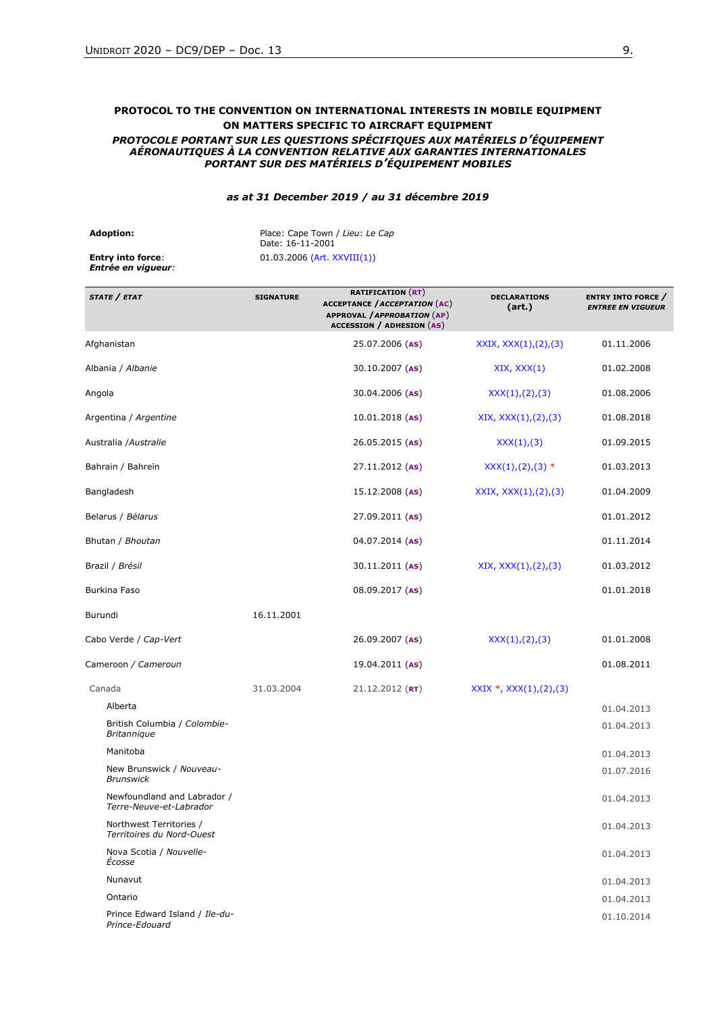## **PROTOCOL TO THE CONVENTION ON INTERNATIONAL INTERESTS IN MOBILE EQUIPMENT ON MATTERS SPECIFIC TO AIRCRAFT EQUIPMENT**

#### *PROTOCOLE PORTANT SUR LES QUESTIONS SPÉCIFIQUES AUX MATÉRIELS D'ÉQUIPEMENT AÉRONAUTIQUES À LA CONVENTION RELATIVE AUX GARANTIES INTERNATIONALES PORTANT SUR DES MATÉRIELS D'ÉQUIPEMENT MOBILES*

#### *as at 31 December 2019 / au 31 décembre 2019*

| <b>Adoption:</b>                                      | Place: Cape Town / Lieu: Le Cap<br>Date: 16-11-2001 |
|-------------------------------------------------------|-----------------------------------------------------|
| <b>Entry into force:</b><br><b>Entrée en viqueur:</b> | $01.03.2006$ (Art. XXVIII(1))                       |

| STATE / ETAT                                           | <b>SIGNATURE</b> | <b>RATIFICATION (RT)</b><br><b>ACCEPTANCE / ACCEPTATION (AC)</b><br><b>APPROVAL / APPROBATION (AP)</b><br><b>ACCESSION / ADHESION (AS)</b> | <b>DECLARATIONS</b><br>(art.) | <b>ENTRY INTO FORCE</b> /<br><b>ENTREE EN VIGUEUR</b> |
|--------------------------------------------------------|------------------|--------------------------------------------------------------------------------------------------------------------------------------------|-------------------------------|-------------------------------------------------------|
| Afghanistan                                            |                  | 25.07.2006 (AS)                                                                                                                            | XXIX, XXX(1),(2),(3)          | 01.11.2006                                            |
| Albania / Albanie                                      |                  | 30.10.2007 (AS)                                                                                                                            | XIX, XXX(1)                   | 01.02.2008                                            |
| Angola                                                 |                  | 30.04.2006 (AS)                                                                                                                            | XXX(1), (2), (3)              | 01.08.2006                                            |
| Argentina / Argentine                                  |                  | $10.01.2018$ (AS)                                                                                                                          | XIX, XXX(1),(2),(3)           | 01.08.2018                                            |
| Australia / Australie                                  |                  | 26.05.2015 (AS)                                                                                                                            | XXX(1), (3)                   | 01.09.2015                                            |
| Bahrain / Bahreïn                                      |                  | 27.11.2012 (AS)                                                                                                                            | $XXX(1), (2), (3)$ *          | 01.03.2013                                            |
| Bangladesh                                             |                  | 15.12.2008 (AS)                                                                                                                            | XXIX, XXX(1),(2),(3)          | 01.04.2009                                            |
| Belarus / Bélarus                                      |                  | 27.09.2011 (AS)                                                                                                                            |                               | 01.01.2012                                            |
| Bhutan / Bhoutan                                       |                  | 04.07.2014 (AS)                                                                                                                            |                               | 01.11.2014                                            |
| Brazil / Brésil                                        |                  | 30.11.2011 (AS)                                                                                                                            | XIX, XXX(1), (2), (3)         | 01.03.2012                                            |
| Burkina Faso                                           |                  | 08.09.2017 (AS)                                                                                                                            |                               | 01.01.2018                                            |
| Burundi                                                | 16.11.2001       |                                                                                                                                            |                               |                                                       |
| Cabo Verde / Cap-Vert                                  |                  | 26.09.2007 (AS)                                                                                                                            | XXX(1), (2), (3)              | 01.01.2008                                            |
| Cameroon / Cameroun                                    |                  | 19.04.2011 (AS)                                                                                                                            |                               | 01.08.2011                                            |
| Canada                                                 | 31.03.2004       | $21.12.2012$ (RT)                                                                                                                          | $XXIX$ *, $XXX(1),(2),(3)$    |                                                       |
| Alberta                                                |                  |                                                                                                                                            |                               | 01.04.2013                                            |
| British Columbia / Colombie-<br><b>Britannique</b>     |                  |                                                                                                                                            |                               | 01.04.2013                                            |
| Manitoba                                               |                  |                                                                                                                                            |                               | 01.04.2013                                            |
| New Brunswick / Nouveau-<br><b>Brunswick</b>           |                  |                                                                                                                                            |                               | 01.07.2016                                            |
| Newfoundland and Labrador /<br>Terre-Neuve-et-Labrador |                  |                                                                                                                                            |                               | 01.04.2013                                            |
| Northwest Territories /<br>Territoires du Nord-Ouest   |                  |                                                                                                                                            |                               | 01.04.2013                                            |
| Nova Scotia / Nouvelle-<br>Ecosse                      |                  |                                                                                                                                            |                               | 01.04.2013                                            |
| Nunavut                                                |                  |                                                                                                                                            |                               | 01.04.2013                                            |
| Ontario                                                |                  |                                                                                                                                            |                               | 01.04.2013                                            |
| Prince Edward Island / Ile-du-<br>Prince-Edouard       |                  |                                                                                                                                            |                               | 01.10.2014                                            |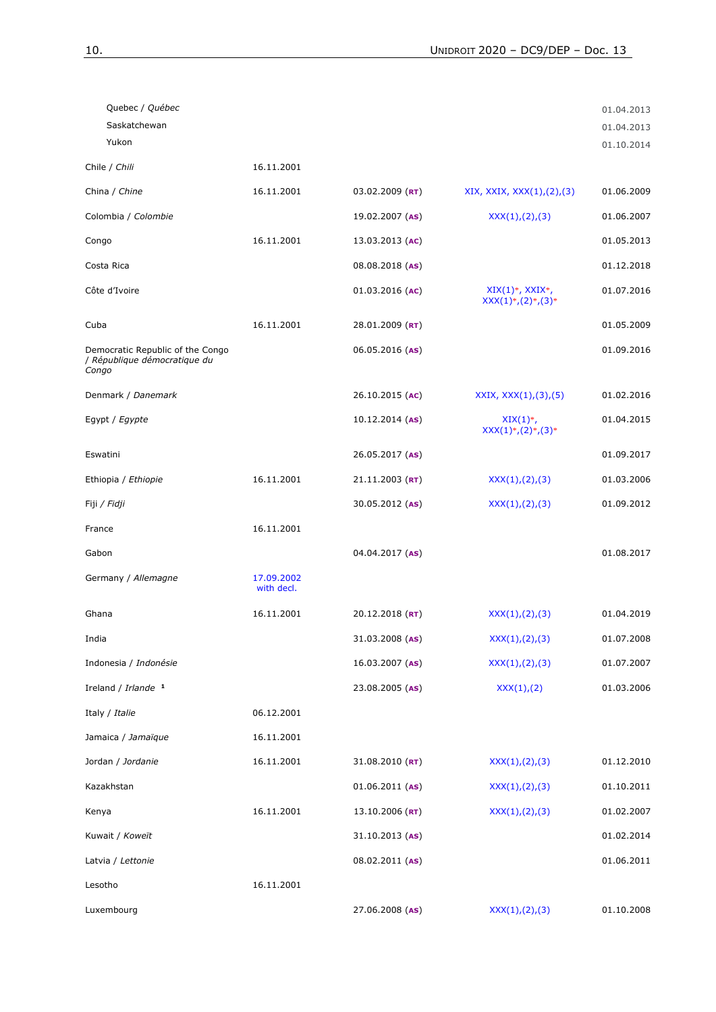| Quebec / Québec                                                           |                          |                   |                                                         | 01.04.2013 |
|---------------------------------------------------------------------------|--------------------------|-------------------|---------------------------------------------------------|------------|
| Saskatchewan                                                              |                          |                   |                                                         | 01.04.2013 |
| Yukon                                                                     |                          |                   |                                                         | 01.10.2014 |
| Chile / Chili                                                             | 16.11.2001               |                   |                                                         |            |
| China / Chine                                                             | 16.11.2001               | $03.02.2009$ (RT) | XIX, XXIX, XXX(1),(2),(3)                               | 01.06.2009 |
| Colombia / Colombie                                                       |                          | 19.02.2007 (AS)   | XXX(1), (2), (3)                                        | 01.06.2007 |
| Congo                                                                     | 16.11.2001               | 13.03.2013 (AC)   |                                                         | 01.05.2013 |
| Costa Rica                                                                |                          | 08.08.2018 (AS)   |                                                         | 01.12.2018 |
| Côte d'Ivoire                                                             |                          | $01.03.2016$ (AC) | $XIX(1)$ *, $XXIX$ *,<br>$XXX(1)^{*}, (2)^{*}, (3)^{*}$ | 01.07.2016 |
| Cuba                                                                      | 16.11.2001               | 28.01.2009 (RT)   |                                                         | 01.05.2009 |
| Democratic Republic of the Congo<br>/ République démocratique du<br>Congo |                          | 06.05.2016 (AS)   |                                                         | 01.09.2016 |
| Denmark / Danemark                                                        |                          | 26.10.2015 (AC)   | XXIX, XXX(1), (3), (5)                                  | 01.02.2016 |
| Egypt / Egypte                                                            |                          | $10.12.2014$ (AS) | $XIX(1)^*,$<br>$XXX(1)^{*}, (2)^{*}, (3)^{*}$           | 01.04.2015 |
| Eswatini                                                                  |                          | 26.05.2017 (AS)   |                                                         | 01.09.2017 |
| Ethiopia / Ethiopie                                                       | 16.11.2001               | $21.11.2003$ (RT) | XXX(1),(2),(3)                                          | 01.03.2006 |
| Fiji / <i>Fidji</i>                                                       |                          | 30.05.2012 (AS)   | XXX(1),(2),(3)                                          | 01.09.2012 |
| France                                                                    | 16.11.2001               |                   |                                                         |            |
| Gabon                                                                     |                          | $04.04.2017$ (AS) |                                                         | 01.08.2017 |
| Germany / Allemagne                                                       | 17.09.2002<br>with decl. |                   |                                                         |            |
| Ghana                                                                     | 16.11.2001               | $20.12.2018$ (RT) | XXX(1), (2), (3)                                        | 01.04.2019 |
| India                                                                     |                          | 31.03.2008 (AS)   | XXX(1),(2),(3)                                          | 01.07.2008 |
| Indonesia / Indonésie                                                     |                          | 16.03.2007 (AS)   | XXX(1),(2),(3)                                          | 01.07.2007 |
| Ireland / Irlande 1                                                       |                          | 23.08.2005 (AS)   | XXX(1),(2)                                              | 01.03.2006 |
| Italy / Italie                                                            | 06.12.2001               |                   |                                                         |            |
| Jamaica / Jamaïque                                                        | 16.11.2001               |                   |                                                         |            |
| Jordan / Jordanie                                                         | 16.11.2001               | $31.08.2010$ (RT) | XXX(1), (2), (3)                                        | 01.12.2010 |
| Kazakhstan                                                                |                          | $01.06.2011$ (AS) | XXX(1),(2),(3)                                          | 01.10.2011 |
| Kenya                                                                     | 16.11.2001               | $13.10.2006$ (RT) | XXX(1),(2),(3)                                          | 01.02.2007 |
| Kuwait / Koweït                                                           |                          | $31.10.2013$ (AS) |                                                         | 01.02.2014 |
| Latvia / Lettonie                                                         |                          | 08.02.2011 (AS)   |                                                         | 01.06.2011 |
| Lesotho                                                                   | 16.11.2001               |                   |                                                         |            |
| Luxembourg                                                                |                          | 27.06.2008 (AS)   | XXX(1), (2), (3)                                        | 01.10.2008 |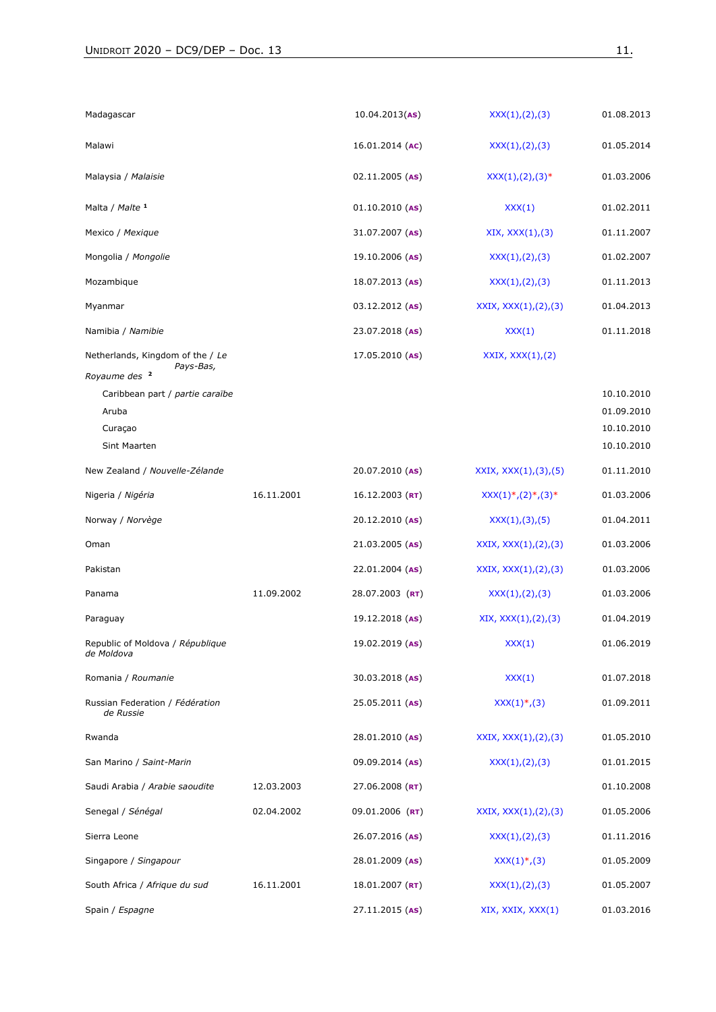| Madagascar                                                                 |            | 10.04.2013(AS)    | XXX(1), (2), (3)         | 01.08.2013                             |
|----------------------------------------------------------------------------|------------|-------------------|--------------------------|----------------------------------------|
| Malawi                                                                     |            | 16.01.2014 (AC)   | XXX(1),(2),(3)           | 01.05.2014                             |
| Malaysia / Malaisie                                                        |            | $02.11.2005$ (AS) | $XXX(1), (2), (3)*$      | 01.03.2006                             |
| Malta / Malte 1                                                            |            | $01.10.2010$ (AS) | XXX(1)                   | 01.02.2011                             |
| Mexico / Mexique                                                           |            | 31.07.2007 (AS)   | XIX, XXX(1), (3)         | 01.11.2007                             |
| Mongolia / Mongolie                                                        |            | 19.10.2006 (AS)   | XXX(1),(2),(3)           | 01.02.2007                             |
| Mozambique                                                                 |            | $18.07.2013$ (AS) | XXX(1), (2), (3)         | 01.11.2013                             |
| Myanmar                                                                    |            | 03.12.2012 (AS)   | XXIX, $XXX(1), (2), (3)$ | 01.04.2013                             |
| Namibia / Namibie                                                          |            | 23.07.2018 (AS)   | XXX(1)                   | 01.11.2018                             |
| Netherlands, Kingdom of the / Le<br>Pays-Bas,<br>Royaume des <sup>2</sup>  |            | $17.05.2010$ (AS) | XXIX, XXX(1), (2)        | 10.10.2010                             |
| Caribbean part / partie caraïbe<br>Aruba<br>Curaçao<br><b>Sint Maarten</b> |            |                   |                          | 01.09.2010<br>10.10.2010<br>10.10.2010 |
| New Zealand / Nouvelle-Zélande                                             |            | 20.07.2010 (AS)   | XXIX, XXX(1), (3), (5)   | 01.11.2010                             |
| Nigeria / Nigéria                                                          | 16.11.2001 | $16.12.2003$ (RT) | $XXX(1), (2), (3)$ *     | 01.03.2006                             |
| Norway / Norvège                                                           |            | 20.12.2010 (AS)   | XXX(1),(3),(5)           | 01.04.2011                             |
| Oman                                                                       |            | 21.03.2005 (AS)   | XXIX, $XXX(1), (2), (3)$ | 01.03.2006                             |
| Pakistan                                                                   |            | 22.01.2004 (AS)   | XXIX, $XXX(1), (2), (3)$ | 01.03.2006                             |
| Panama                                                                     | 11.09.2002 | 28.07.2003 (RT)   | XXX(1), (2), (3)         | 01.03.2006                             |
| Paraguay                                                                   |            | 19.12.2018 (AS)   | XIX, XXX(1), (2), (3)    | 01.04.2019                             |
| Republic of Moldova / République<br>de Moldova                             |            | 19.02.2019 (AS)   | XXX(1)                   | 01.06.2019                             |
| Romania / Roumanie                                                         |            | 30.03.2018 (AS)   | XXX(1)                   | 01.07.2018                             |
| Russian Federation / Fédération<br>de Russie                               |            | 25.05.2011 (AS)   | $XXX(1)^*, (3)$          | 01.09.2011                             |
| Rwanda                                                                     |            | 28.01.2010 (AS)   | XXIX, $XXX(1), (2), (3)$ | 01.05.2010                             |
| San Marino / Saint-Marin                                                   |            | 09.09.2014 (AS)   | XXX(1),(2),(3)           | 01.01.2015                             |
| Saudi Arabia / Arabie saoudite                                             | 12.03.2003 | $27.06.2008$ (RT) |                          | 01.10.2008                             |
| Senegal / Sénégal                                                          | 02.04.2002 | 09.01.2006 (RT)   | XXIX, XXX(1),(2),(3)     | 01.05.2006                             |
| Sierra Leone                                                               |            | 26.07.2016 (AS)   | XXX(1),(2),(3)           | 01.11.2016                             |
| Singapore / Singapour                                                      |            | 28.01.2009 (AS)   | XXX(1), (3)              | 01.05.2009                             |
| South Africa / Afrique du sud                                              | 16.11.2001 | 18.01.2007 (RT)   | XXX(1), (2), (3)         | 01.05.2007                             |
| Spain / Espagne                                                            |            | 27.11.2015 (AS)   | XIX, XXIX, XXX(1)        | 01.03.2016                             |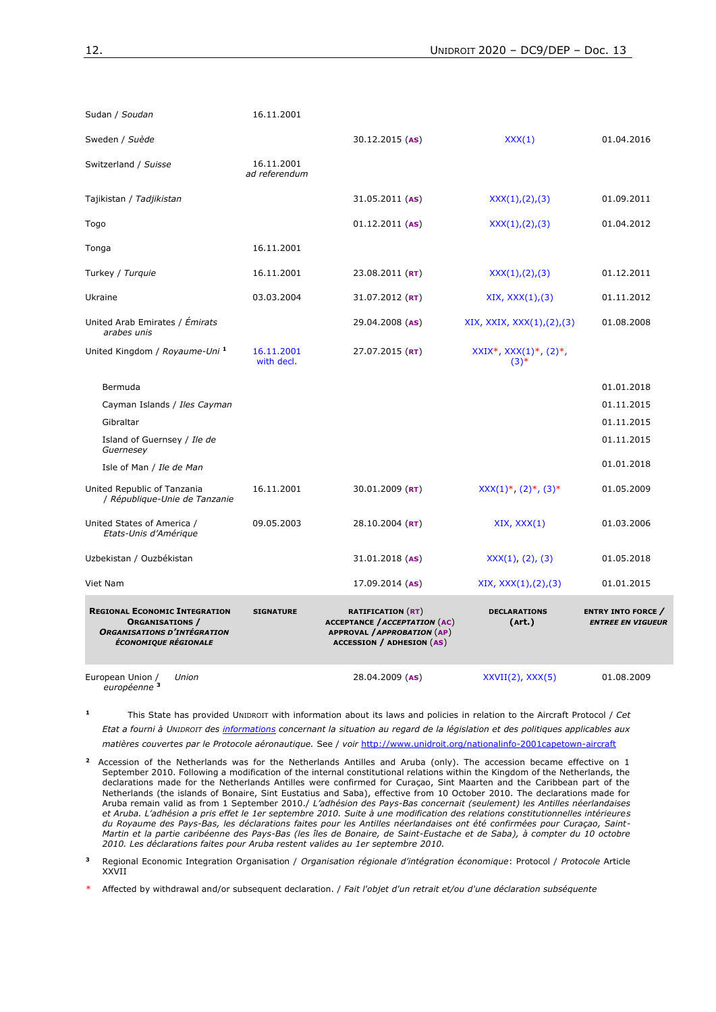| Sudan / Soudan                                                                                                               | 16.11.2001                  |                                                                                                                                     |                                       |                                                       |
|------------------------------------------------------------------------------------------------------------------------------|-----------------------------|-------------------------------------------------------------------------------------------------------------------------------------|---------------------------------------|-------------------------------------------------------|
| Sweden / Suède                                                                                                               |                             | $30.12.2015$ (AS)                                                                                                                   | XXX(1)                                | 01.04.2016                                            |
| Switzerland / Suisse                                                                                                         | 16.11.2001<br>ad referendum |                                                                                                                                     |                                       |                                                       |
| Tajikistan / Tadjikistan                                                                                                     |                             | $31.05.2011$ (AS)                                                                                                                   | XXX(1),(2),(3)                        | 01.09.2011                                            |
| Togo                                                                                                                         |                             | $01.12.2011$ (AS)                                                                                                                   | XXX(1),(2),(3)                        | 01.04.2012                                            |
| Tonga                                                                                                                        | 16.11.2001                  |                                                                                                                                     |                                       |                                                       |
| Turkey / Turquie                                                                                                             | 16.11.2001                  | $23.08.2011$ (RT)                                                                                                                   | XXX(1), (2), (3)                      | 01.12.2011                                            |
| Ukraine                                                                                                                      | 03.03.2004                  | 31.07.2012 (RT)                                                                                                                     | XIX, XXX(1), (3)                      | 01.11.2012                                            |
| United Arab Emirates / Émirats<br>arabes unis                                                                                |                             | 29.04.2008 (AS)                                                                                                                     | XIX, XXIX, XXX $(1)$ , $(2)$ , $(3)$  | 01.08.2008                                            |
| United Kingdom / Royaume-Uni 1                                                                                               | 16.11.2001<br>with decl.    | $27.07.2015$ (RT)                                                                                                                   | $XXIX^*, XXX(1)^*, (2)^*,$<br>$(3)$ * |                                                       |
| Bermuda                                                                                                                      |                             |                                                                                                                                     |                                       | 01.01.2018                                            |
| Cayman Islands / Iles Cayman                                                                                                 |                             |                                                                                                                                     |                                       | 01.11.2015                                            |
| Gibraltar                                                                                                                    |                             |                                                                                                                                     |                                       | 01.11.2015                                            |
| Island of Guernsey / Ile de<br>Guernesey                                                                                     |                             |                                                                                                                                     |                                       | 01.11.2015                                            |
| Isle of Man / Ile de Man                                                                                                     |                             |                                                                                                                                     |                                       | 01.01.2018                                            |
| United Republic of Tanzania<br>/ République-Unie de Tanzanie                                                                 | 16.11.2001                  | 30.01.2009 ( $RT$ )                                                                                                                 | $XXX(1)^*, (2)^*, (3)^*$              | 01.05.2009                                            |
| United States of America /<br>Etats-Unis d'Amérique                                                                          | 09.05.2003                  | 28.10.2004 ( $RT$ )                                                                                                                 | XIX, XXX(1)                           | 01.03.2006                                            |
| Uzbekistan / Ouzbékistan                                                                                                     |                             | $31.01.2018$ (AS)                                                                                                                   | XXX(1), (2), (3)                      | 01.05.2018                                            |
| Viet Nam                                                                                                                     |                             | $17.09.2014$ (AS)                                                                                                                   | XIX, XXX(1), (2), (3)                 | 01.01.2015                                            |
| <b>REGIONAL ECONOMIC INTEGRATION</b><br><b>ORGANISATIONS</b> /<br><b>ORGANISATIONS D'INTÉGRATION</b><br>ÉCONOMIQUE RÉGIONALE | <b>SIGNATURE</b>            | <b>RATIFICATION</b> (RT)<br><b>ACCEPTANCE / ACCEPTATION (AC)</b><br>APPROVAL / APPROBATION (AP)<br><b>ACCESSION / ADHESION (AS)</b> | <b>DECLARATIONS</b><br>(Art.)         | <b>ENTRY INTO FORCE</b> /<br><b>ENTREE EN VIGUEUR</b> |
| European Union /<br>Union<br>européenne <sup>3</sup>                                                                         |                             | 28.04.2009 (AS)                                                                                                                     | $XXVII(2)$ , $XXX(5)$                 | 01.08.2009                                            |

**1** This State has provided UNIDROIT with information about its laws and policies in relation to the Aircraft Protocol / *Cet Etat a fourni à UNIDROIT des informations concernant la situation au regard de la législation et des politiques applicables aux matières couvertes par le Protocole aéronautique.* See / *voir* <http://www.unidroit.org/nationalinfo-2001capetown-aircraft>

- **2** Accession of the Netherlands was for the Netherlands Antilles and Aruba (only). The accession became effective on 1 September 2010. Following a modification of the internal constitutional relations within the Kingdom of the Netherlands, the declarations made for the Netherlands Antilles were confirmed for Curaçao, Sint Maarten and the Caribbean part of the Netherlands (the islands of Bonaire, Sint Eustatius and Saba), effective from 10 October 2010. The declarations made for Aruba remain valid as from 1 September 2010./ *L'adhésion des Pays-Bas concernait (seulement) les Antilles néerlandaises et Aruba. L'adhésion a pris effet le 1er septembre 2010. Suite à une modification des relations constitutionnelles intérieures du Royaume des Pays-Bas, les déclarations faites pour les Antilles néerlandaises ont été confirmées pour Curaçao, Saint-Martin et la partie caribéenne des Pays-Bas (les îles de Bonaire, de Saint-Eustache et de Saba), à compter du 10 octobre 2010. Les déclarations faites pour Aruba restent valides au 1er septembre 2010.*
- **3** Regional Economic Integration Organisation / *Organisation régionale d'intégration économique*: Protocol / *Protocole* Article XXVII
- \* Affected by withdrawal and/or subsequent declaration. / *Fait l'objet d'un retrait et/ou d'une déclaration subséquente*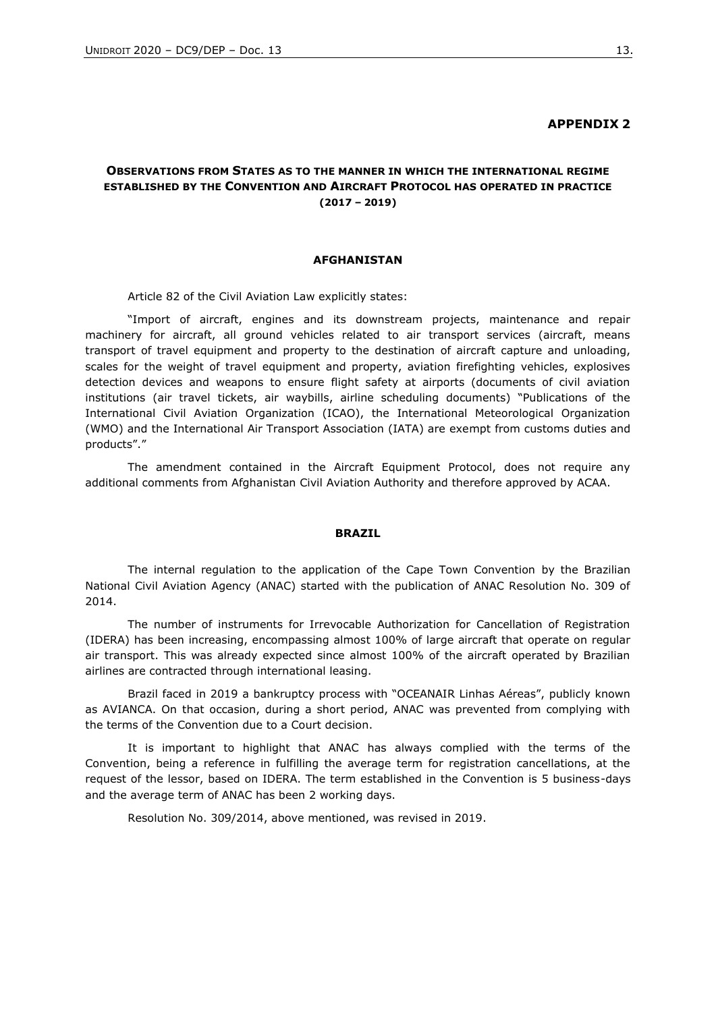#### **APPENDIX 2**

# **OBSERVATIONS FROM STATES AS TO THE MANNER IN WHICH THE INTERNATIONAL REGIME ESTABLISHED BY THE CONVENTION AND AIRCRAFT PROTOCOL HAS OPERATED IN PRACTICE (2017 – 2019)**

#### **AFGHANISTAN**

Article 82 of the Civil Aviation Law explicitly states:

"Import of aircraft, engines and its downstream projects, maintenance and repair machinery for aircraft, all ground vehicles related to air transport services (aircraft, means transport of travel equipment and property to the destination of aircraft capture and unloading, scales for the weight of travel equipment and property, aviation firefighting vehicles, explosives detection devices and weapons to ensure flight safety at airports (documents of civil aviation institutions (air travel tickets, air waybills, airline scheduling documents) "Publications of the International Civil Aviation Organization (ICAO), the International Meteorological Organization (WMO) and the International Air Transport Association (IATA) are exempt from customs duties and products"."

The amendment contained in the Aircraft Equipment Protocol, does not require any additional comments from Afghanistan Civil Aviation Authority and therefore approved by ACAA.

#### **BRAZIL**

The internal regulation to the application of the Cape Town Convention by the Brazilian National Civil Aviation Agency (ANAC) started with the publication of ANAC Resolution No. 309 of 2014.

The number of instruments for Irrevocable Authorization for Cancellation of Registration (IDERA) has been increasing, encompassing almost 100% of large aircraft that operate on regular air transport. This was already expected since almost 100% of the aircraft operated by Brazilian airlines are contracted through international leasing.

Brazil faced in 2019 a bankruptcy process with "OCEANAIR Linhas Aéreas", publicly known as AVIANCA. On that occasion, during a short period, ANAC was prevented from complying with the terms of the Convention due to a Court decision.

It is important to highlight that ANAC has always complied with the terms of the Convention, being a reference in fulfilling the average term for registration cancellations, at the request of the lessor, based on IDERA. The term established in the Convention is 5 business-days and the average term of ANAC has been 2 working days.

Resolution No. 309/2014, above mentioned, was revised in 2019.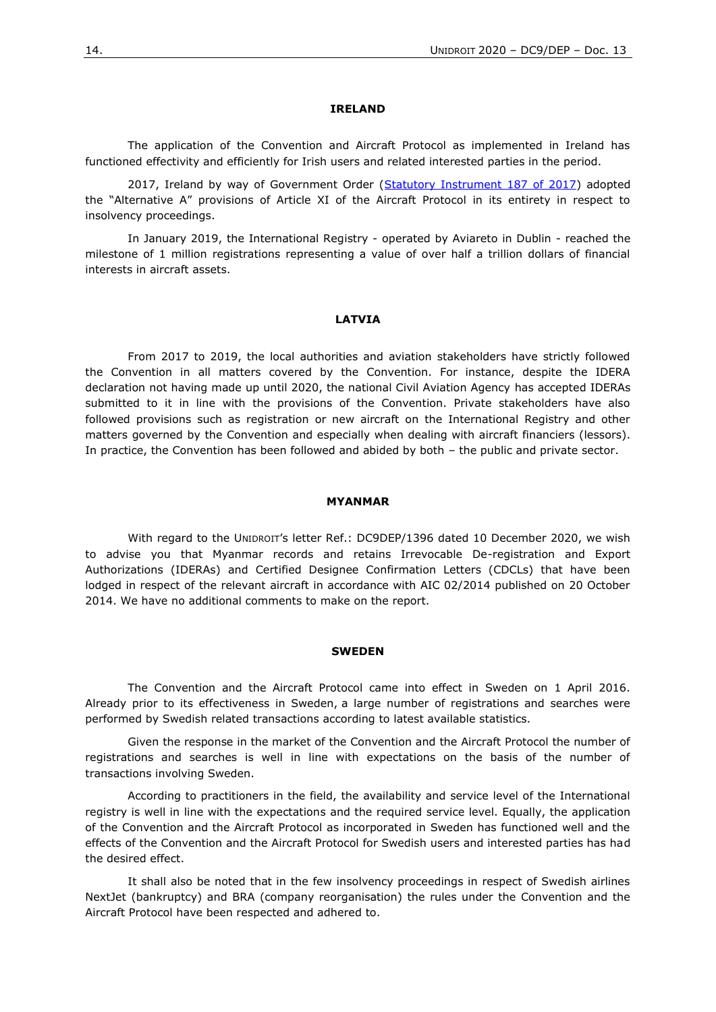#### **IRELAND**

The application of the Convention and Aircraft Protocol as implemented in Ireland has functioned effectivity and efficiently for Irish users and related interested parties in the period.

2017, Ireland by way of Government Order [\(Statutory Instrument 187 of 2017\)](http://www.irishstatutebook.ie/eli/2017/si/187/made/en/print) adopted the "Alternative A" provisions of Article XI of the Aircraft Protocol in its entirety in respect to insolvency proceedings.

In January 2019, the International Registry - operated by Aviareto in Dublin - reached the milestone of 1 million registrations representing a value of over half a trillion dollars of financial interests in aircraft assets.

#### **LATVIA**

From 2017 to 2019, the local authorities and aviation stakeholders have strictly followed the Convention in all matters covered by the Convention. For instance, despite the IDERA declaration not having made up until 2020, the national Civil Aviation Agency has accepted IDERAs submitted to it in line with the provisions of the Convention. Private stakeholders have also followed provisions such as registration or new aircraft on the International Registry and other matters governed by the Convention and especially when dealing with aircraft financiers (lessors). In practice, the Convention has been followed and abided by both – the public and private sector.

#### **MYANMAR**

With regard to the UNIDROIT's letter Ref.: DC9DEP/1396 dated 10 December 2020, we wish to advise you that Myanmar records and retains Irrevocable De-registration and Export Authorizations (IDERAs) and Certified Designee Confirmation Letters (CDCLs) that have been lodged in respect of the relevant aircraft in accordance with AIC 02/2014 published on 20 October 2014. We have no additional comments to make on the report.

#### **SWEDEN**

The Convention and the Aircraft Protocol came into effect in Sweden on 1 April 2016. Already prior to its effectiveness in Sweden, a large number of registrations and searches were performed by Swedish related transactions according to latest available statistics.

Given the response in the market of the Convention and the Aircraft Protocol the number of registrations and searches is well in line with expectations on the basis of the number of transactions involving Sweden.

According to practitioners in the field, the availability and service level of the International registry is well in line with the expectations and the required service level. Equally, the application of the Convention and the Aircraft Protocol as incorporated in Sweden has functioned well and the effects of the Convention and the Aircraft Protocol for Swedish users and interested parties has had the desired effect.

It shall also be noted that in the few insolvency proceedings in respect of Swedish airlines NextJet (bankruptcy) and BRA (company reorganisation) the rules under the Convention and the Aircraft Protocol have been respected and adhered to.